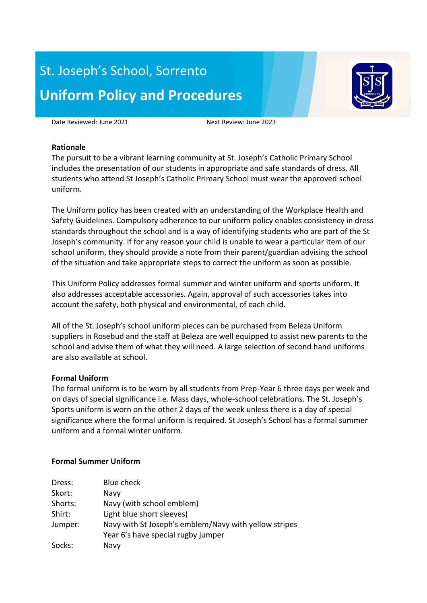# St. Joseph's School, Sorrento **Uniform Policy and Procedures**



Date Reviewed: June 2021 Mext Review: June 2023

#### **Rationale**

The pursuit to be a vibrant learning community at St. Joseph's Catholic Primary School includes the presentation of our students in appropriate and safe standards of dress. All students who attend St Joseph's Catholic Primary School must wear the approved school uniform.

The Uniform policy has been created with an understanding of the Workplace Health and Safety Guidelines. Compulsory adherence to our uniform policy enables consistency in dress standards throughout the school and is a way of identifying students who are part of the St Joseph's community. If for any reason your child is unable to wear a particular item of our school uniform, they should provide a note from their parent/guardian advising the school of the situation and take appropriate steps to correct the uniform as soon as possible.

This Uniform Policy addresses formal summer and winter uniform and sports uniform. It also addresses acceptable accessories. Again, approval of such accessories takes into account the safety, both physical and environmental, of each child.

All of the St. Joseph's school uniform pieces can be purchased from Beleza Uniform suppliers in Rosebud and the staff at Beleza are well equipped to assist new parents to the school and advise them of what they will need. A large selection of second hand uniforms are also available at school.

## **Formal Uniform**

The formal uniform is to be worn by all students from Prep-Year 6 three days per week and on days of special significance i.e. Mass days, whole-school celebrations. The St. Joseph's Sports uniform is worn on the other 2 days of the week unless there is a day of special significance where the formal uniform is required. St Joseph's School has a formal summer uniform and a formal winter uniform.

#### **Formal Summer Uniform**

| Dress:  | <b>Blue check</b>                                     |
|---------|-------------------------------------------------------|
| Skort:  | Navy                                                  |
| Shorts: | Navy (with school emblem)                             |
| Shirt:  | Light blue short sleeves)                             |
| Jumper: | Navy with St Joseph's emblem/Navy with yellow stripes |
|         | Year 6's have special rugby jumper                    |
| Socks:  | Navy                                                  |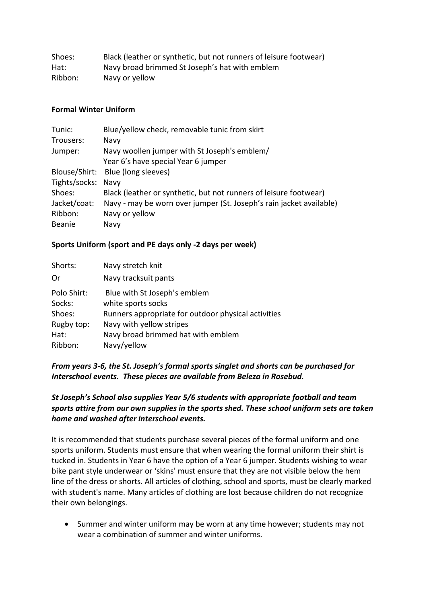| Shoes:  | Black (leather or synthetic, but not runners of leisure footwear) |
|---------|-------------------------------------------------------------------|
| Hat:    | Navy broad brimmed St Joseph's hat with emblem                    |
| Ribbon: | Navy or yellow                                                    |

#### **Formal Winter Uniform**

| Tunic:             | Blue/yellow check, removable tunic from skirt                       |
|--------------------|---------------------------------------------------------------------|
| Trousers:          | Navy                                                                |
| Jumper:            | Navy woollen jumper with St Joseph's emblem/                        |
|                    | Year 6's have special Year 6 jumper                                 |
|                    | Blouse/Shirt: Blue (long sleeves)                                   |
| Tights/socks: Navy |                                                                     |
| Shoes:             | Black (leather or synthetic, but not runners of leisure footwear)   |
| Jacket/coat:       | Navy - may be worn over jumper (St. Joseph's rain jacket available) |
| Ribbon:            | Navy or yellow                                                      |
| Beanie             | Navy                                                                |

## **Sports Uniform (sport and PE days only -2 days per week)**

| Shorts:     | Navy stretch knit                                   |
|-------------|-----------------------------------------------------|
| Or          | Navy tracksuit pants                                |
| Polo Shirt: | Blue with St Joseph's emblem                        |
| Socks:      | white sports socks                                  |
| Shoes:      | Runners appropriate for outdoor physical activities |
| Rugby top:  | Navy with yellow stripes                            |
| Hat:        | Navy broad brimmed hat with emblem                  |
| Ribbon:     | Navy/yellow                                         |

# *From years 3-6, the St. Joseph's formal sports singlet and shorts can be purchased for Interschool events. These pieces are available from Beleza in Rosebud.*

# *St Joseph's School also supplies Year 5/6 students with appropriate football and team sports attire from our own supplies in the sports shed. These school uniform sets are taken home and washed after interschool events.*

It is recommended that students purchase several pieces of the formal uniform and one sports uniform. Students must ensure that when wearing the formal uniform their shirt is tucked in. Students in Year 6 have the option of a Year 6 jumper. Students wishing to wear bike pant style underwear or 'skins' must ensure that they are not visible below the hem line of the dress or shorts. All articles of clothing, school and sports, must be clearly marked with student's name. Many articles of clothing are lost because children do not recognize their own belongings.

• Summer and winter uniform may be worn at any time however; students may not wear a combination of summer and winter uniforms.